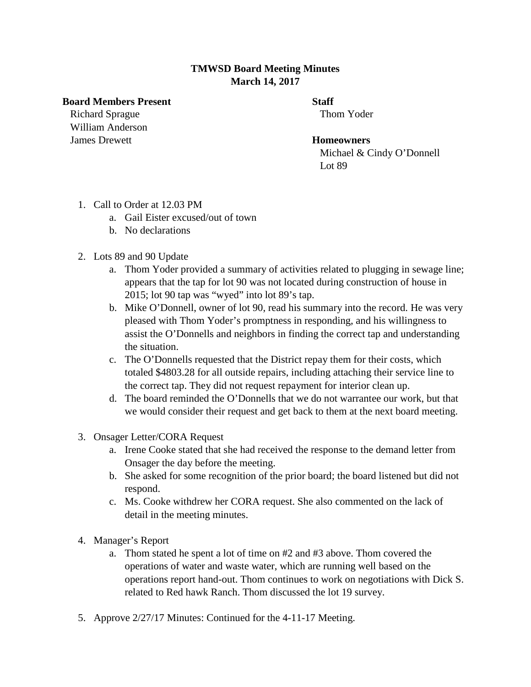## **TMWSD Board Meeting Minutes March 14, 2017**

## **Board Members Present Staff**

**Richard Sprague Thom Yoder** Thom Yoder William Anderson James Drewett **Homeowners**

 Michael & Cindy O'Donnell Lot 89

- 1. Call to Order at 12.03 PM
	- a. Gail Eister excused/out of town
	- b. No declarations
- 2. Lots 89 and 90 Update
	- a. Thom Yoder provided a summary of activities related to plugging in sewage line; appears that the tap for lot 90 was not located during construction of house in 2015; lot 90 tap was "wyed" into lot 89's tap.
	- b. Mike O'Donnell, owner of lot 90, read his summary into the record. He was very pleased with Thom Yoder's promptness in responding, and his willingness to assist the O'Donnells and neighbors in finding the correct tap and understanding the situation.
	- c. The O'Donnells requested that the District repay them for their costs, which totaled \$4803.28 for all outside repairs, including attaching their service line to the correct tap. They did not request repayment for interior clean up.
	- d. The board reminded the O'Donnells that we do not warrantee our work, but that we would consider their request and get back to them at the next board meeting.
- 3. Onsager Letter/CORA Request
	- a. Irene Cooke stated that she had received the response to the demand letter from Onsager the day before the meeting.
	- b. She asked for some recognition of the prior board; the board listened but did not respond.
	- c. Ms. Cooke withdrew her CORA request. She also commented on the lack of detail in the meeting minutes.
- 4. Manager's Report
	- a. Thom stated he spent a lot of time on #2 and #3 above. Thom covered the operations of water and waste water, which are running well based on the operations report hand-out. Thom continues to work on negotiations with Dick S. related to Red hawk Ranch. Thom discussed the lot 19 survey.
- 5. Approve 2/27/17 Minutes: Continued for the 4-11-17 Meeting.